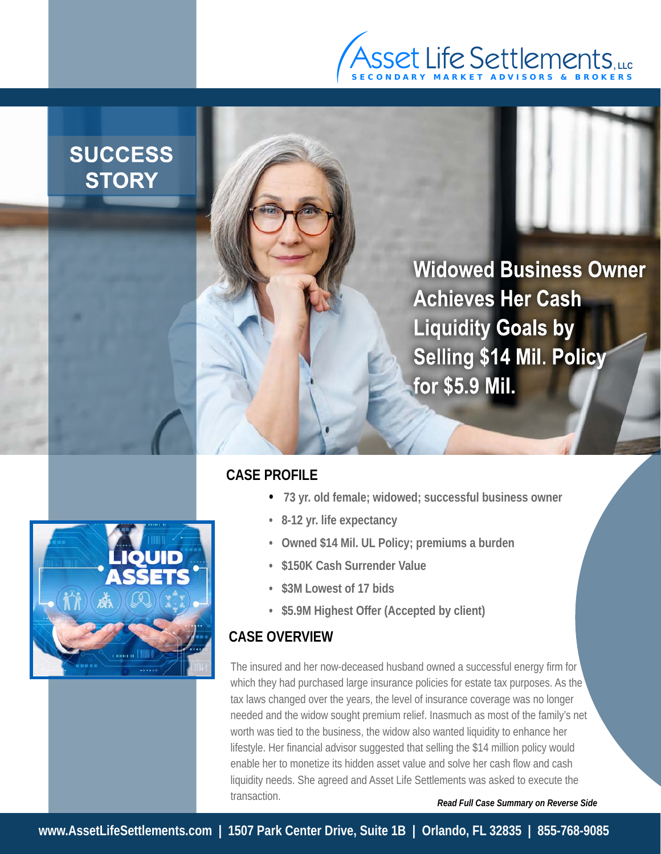

## **SUCCESS STORY**

**Widowed Business Owner Achieves Her Cash Liquidity Goals by Selling \$14 Mil. Policy** for \$5.9 Mil.



- **73 yr. old female; widowed; successful business owner**
- **8-12 yr. life expectancy**
- **Owned \$14 Mil. UL Policy; premiums a burden**
- **\$150K Cash Surrender Value**
- **\$3M Lowest of 17 bids**
- **\$5.9M Highest Offer (Accepted by client)**

## **CASE OVERVIEW**

The insured and her now-deceased husband owned a successful energy firm for which they had purchased large insurance policies for estate tax purposes. As the tax laws changed over the years, the level of insurance coverage was no longer needed and the widow sought premium relief. Inasmuch as most of the family's net worth was tied to the business, the widow also wanted liquidity to enhance her lifestyle. Her financial advisor suggested that selling the \$14 million policy would enable her to monetize its hidden asset value and solve her cash flow and cash liquidity needs. She agreed and Asset Life Settlements was asked to execute the

*Read Full Case Summary on Reverse Side*